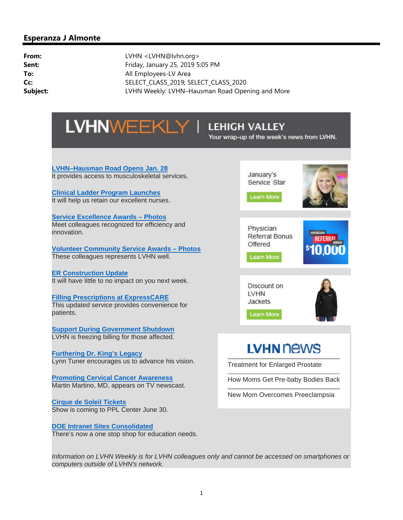# **LVHNWEEKLY I**

## **LEHIGH VALLEY**

Your wrap-up of the week's news from LVHN.

**LVHN–Hausman Road Opens Jan. 28** It provides access to musculoskeletal services.

**Clinical Ladder Program Launches** It will help us retain our excellent nurses.

**Service Excellence Awards – Photos** Meet colleagues recognized for efficiency and innovation.

**Volunteer Community Service Awards – Photos**

These colleagues represents LVHN well.

**ER Construction Update** It will have little to no impact on you next week.

**Filling Prescriptions at ExpressCARE** This updated service provides convenience for patients.

**Support During Government Shutdown** LVHN is freezing billing for those affected.

**Furthering Dr. King's Legacy** Lynn Tuner encourages us to advance his vision.

**Promoting Cervical Cancer Awareness** Martin Martino, MD, appears on TV newscast.

**Cirque de Soleil Tickets** Show is coming to PPL Center June 30.

**DOE Intranet Sites Consolidated** There's now a one stop shop for education needs.



Referral Bonus Offered

Learn More

Discount on **LVHN** Jackets

Learn More



# **LVHN NEWS**

Treatment for Enlarged Prostate

How Moms Get Pre-baby Bodies Back

New Mom Overcomes Preeclampsia

*Information on LVHN Weekly is for LVHN colleagues only and cannot be accessed on smartphones or computers outside of LVHN's network.*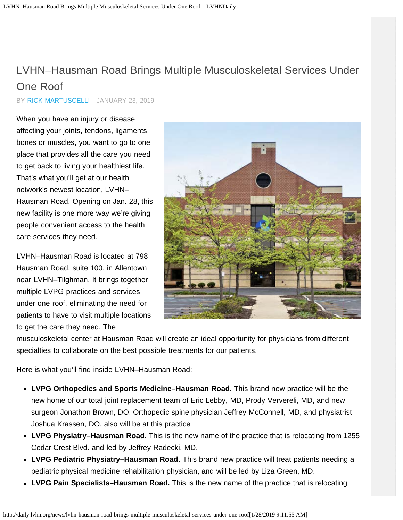# <span id="page-1-0"></span>LVHN–Hausman Road Brings Multiple Musculoskeletal Services Under One Roof

BY [RICK MARTUSCELLI](http://daily.lvhn.org/author/rmartuscelli) · JANUARY 23, 2019

When you have an injury or disease affecting your joints, tendons, ligaments, bones or muscles, you want to go to one place that provides all the care you need to get back to living your healthiest life. That's what you'll get at our health network's newest location, LVHN– Hausman Road. Opening on Jan. 28, this new facility is one more way we're giving people convenient access to the health care services they need.

LVHN–Hausman Road is located at 798 Hausman Road, suite 100, in Allentown near LVHN–Tilghman. It brings together multiple LVPG practices and services under one roof, eliminating the need for patients to have to visit multiple locations to get the care they need. The



musculoskeletal center at Hausman Road will create an ideal opportunity for physicians from different specialties to collaborate on the best possible treatments for our patients.

Here is what you'll find inside LVHN–Hausman Road:

- **LVPG Orthopedics and Sports Medicine–Hausman Road.** This brand new practice will be the new home of our total joint replacement team of Eric Lebby, MD, Prody Ververeli, MD, and new surgeon Jonathon Brown, DO. Orthopedic spine physician Jeffrey McConnell, MD, and physiatrist Joshua Krassen, DO, also will be at this practice
- **LVPG Physiatry–Hausman Road.** This is the new name of the practice that is relocating from 1255 Cedar Crest Blvd. and led by Jeffrey Radecki, MD.
- **LVPG Pediatric Physiatry–Hausman Road**. This brand new practice will treat patients needing a pediatric physical medicine rehabilitation physician, and will be led by Liza Green, MD.
- **LVPG Pain Specialists–Hausman Road.** This is the new name of the practice that is relocating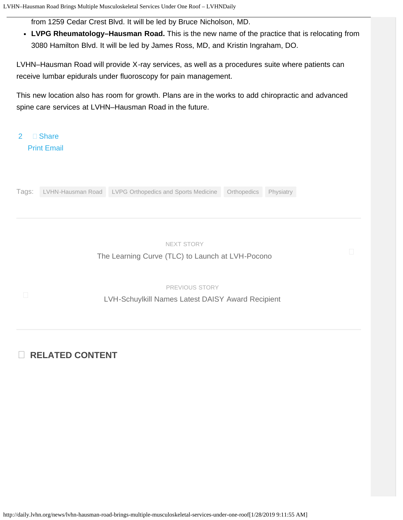from 1259 Cedar Crest Blvd. It will be led by Bruce Nicholson, MD.

**LVPG Rheumatology–Hausman Road.** This is the new name of the practice that is relocating from 3080 Hamilton Blvd. It will be led by James Ross, MD, and Kristin Ingraham, DO.

LVHN–Hausman Road will provide X-ray services, as well as a procedures suite where patients can receive lumbar epidurals under fluoroscopy for pain management.

This new location also has room for growth. Plans are in the works to add chiropractic and advanced spine care services at LVHN–Hausman Road in the future.

□ Share

[Print](javascript:window.print()) [Email](mailto:?subject=LVHN%E2%80%93Hausman%20Road%20Brings%20Multiple%20Musculoskeletal%20Services%20Under%20One%20Roof&body=Read%20this%20story%20on%20LVHN%20Daily:%20http://daily.lvhn.org/news/lvhn-hausman-road-brings-multiple-musculoskeletal-services-under-one-roof)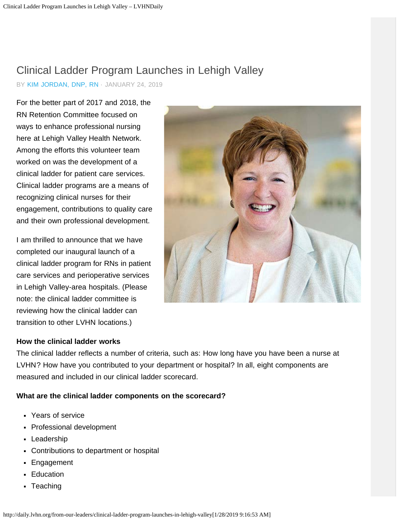# <span id="page-3-0"></span>Clinical Ladder Program Launches in Lehigh Valley

BY [KIM JORDAN, DNP, RN](http://daily.lvhn.org/author/marie-jordanlvhn-org) · JANUARY 24, 2019

For the better part of 2017 and 2018, the RN Retention Committee focused on ways to enhance professional nursing here at Lehigh Valley Health Network. Among the efforts this volunteer team worked on was the development of a clinical ladder for patient care services. Clinical ladder programs are a means of recognizing clinical nurses for their engagement, contributions to quality care and their own professional development.

I am thrilled to announce that we have completed our inaugural launch of a clinical ladder program for RNs in patient care services and perioperative services in Lehigh Valley-area hospitals. (Please note: the clinical ladder committee is reviewing how the clinical ladder can transition to other LVHN locations.)

### **How the clinical ladder works**

The clinical ladder reflects a number of criteria, such as: How long have you have been a nurse at LVHN? How have you contributed to your department or hospital? In all, eight components are measured and included in our clinical ladder scorecard.

### **What are the clinical ladder components on the scorecard?**

- **Years of service**
- **Professional development**
- **Leadership**
- **Contributions to department or hospital**
- **Engagement**
- **Education**
- **Teaching**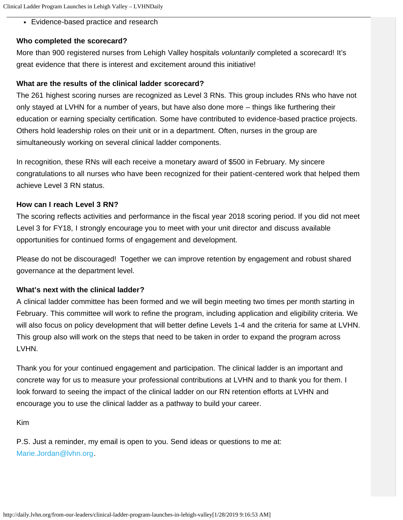Evidence-based practice and research

### **Who completed the scorecard?**

More than 900 registered nurses from Lehigh Valley hospitals *voluntarily* completed a scorecard! It's great evidence that there is interest and excitement around this initiative!

### **What are the results of the clinical ladder scorecard?**

The 261 highest scoring nurses are recognized as Level 3 RNs. This group includes RNs who have not only stayed at LVHN for a number of years, but have also done more – things like furthering their education or earning specialty certification. Some have contributed to evidence-based practice projects. Others hold leadership roles on their unit or in a department. Often, nurses in the group are simultaneously working on several clinical ladder components.

In recognition, these RNs will each receive a monetary award of \$500 in February. My sincere congratulations to all nurses who have been recognized for their patient-centered work that helped them achieve Level 3 RN status.

### **How can I reach Level 3 RN?**

The scoring reflects activities and performance in the fiscal year 2018 scoring period. If you did not meet Level 3 for FY18, I strongly encourage you to meet with your unit director and discuss available opportunities for continued forms of engagement and development.

Please do not be discouraged! Together we can improve retention by engagement and robust shared governance at the department level.

### **What's next with the clinical ladder?**

A clinical ladder committee has been formed and we will begin meeting two times per month starting in February. This committee will work to refine the program, including application and eligibility criteria. We will also focus on policy development that will better define Levels 1-4 and the criteria for same at LVHN. This group also will work on the steps that need to be taken in order to expand the program across LVHN.

Thank you for your continued engagement and participation. The clinical ladder is an important and concrete way for us to measure your professional contributions at LVHN and to thank you for them. I look forward to seeing the impact of the clinical ladder on our RN retention efforts at LVHN and encourage you to use the clinical ladder as a pathway to build your career.

Kim

P.S. Just a reminder, my email is open to you. Send ideas or questions to me at: [Marie.Jordan@lvhn.org](mailto:Marie.Jordan@lvhn.org).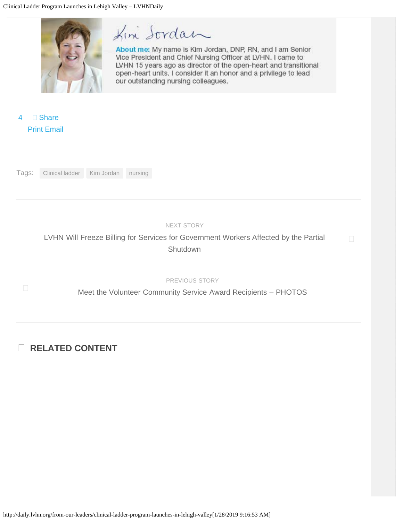

# Kin Sordan

About me: My name is Kim Jordan, DNP, RN, and I am Senior Vice President and Chief Nursing Officer at LVHN. I came to LVHN 15 years ago as director of the open-heart and transitional open-heart units. I consider it an honor and a privilege to lead our outstanding nursing colleagues.

 $\Box$  Share [Print](javascript:window.print()) [Email](mailto:?subject=Clinical Ladder Program Launches in Lehigh Valley&body=Read this story on LVHN Daily: http://daily.lvhn.org/from-our-leaders/clinical-ladder-program-launches-in-lehigh-valley)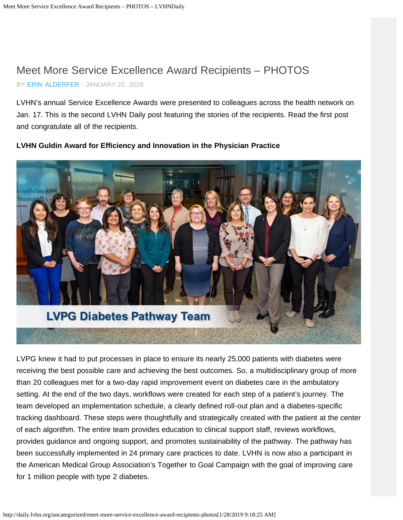# <span id="page-6-0"></span>Meet More Service Excellence Award Recipients – PHOTOS

BY [ERIN ALDERFER](http://daily.lvhn.org/author/erin-alderfer) · JANUARY 22, 2019

LVHN's annual Service Excellence Awards were presented to colleagues across the health network on Jan. 17. This is the second LVHN Daily post featuring the stories of the recipients. Read the first post and congratulate all of the recipients.

# **LVPG Diabetes Pathway Team**

**LVHN Guldin Award for Efficiency and Innovation in the Physician Practice**

LVPG knew it had to put processes in place to ensure its nearly 25,000 patients with diabetes were receiving the best possible care and achieving the best outcomes. So, a multidisciplinary group of more than 20 colleagues met for a two-day rapid improvement event on diabetes care in the ambulatory setting. At the end of the two days, workflows were created for each step of a patient's journey. The team developed an implementation schedule, a clearly defined roll-out plan and a diabetes-specific tracking dashboard. These steps were thoughtfully and strategically created with the patient at the center of each algorithm. The entire team provides education to clinical support staff, reviews workflows, provides guidance and ongoing support, and promotes sustainability of the pathway. The pathway has been successfully implemented in 24 primary care practices to date. LVHN is now also a participant in the American Medical Group Association's Together to Goal Campaign with the goal of improving care for 1 million people with type 2 diabetes.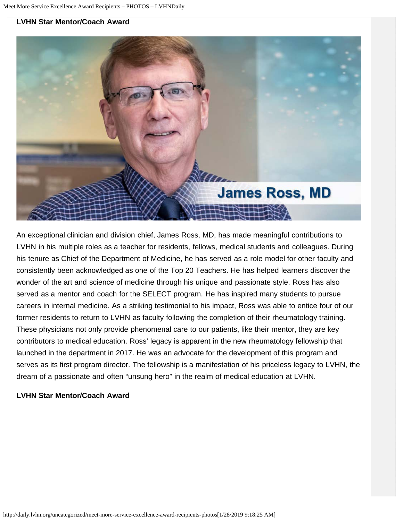

An exceptional clinician and division chief, James Ross, MD, has made meaningful contributions to LVHN in his multiple roles as a teacher for residents, fellows, medical students and colleagues. During his tenure as Chief of the Department of Medicine, he has served as a role model for other faculty and consistently been acknowledged as one of the Top 20 Teachers. He has helped learners discover the wonder of the art and science of medicine through his unique and passionate style. Ross has also served as a mentor and coach for the SELECT program. He has inspired many students to pursue careers in internal medicine. As a striking testimonial to his impact, Ross was able to entice four of our former residents to return to LVHN as faculty following the completion of their rheumatology training. These physicians not only provide phenomenal care to our patients, like their mentor, they are key contributors to medical education. Ross' legacy is apparent in the new rheumatology fellowship that launched in the department in 2017. He was an advocate for the development of this program and serves as its first program director. The fellowship is a manifestation of his priceless legacy to LVHN, the dream of a passionate and often "unsung hero" in the realm of medical education at LVHN.

### **LVHN Star Mentor/Coach Award**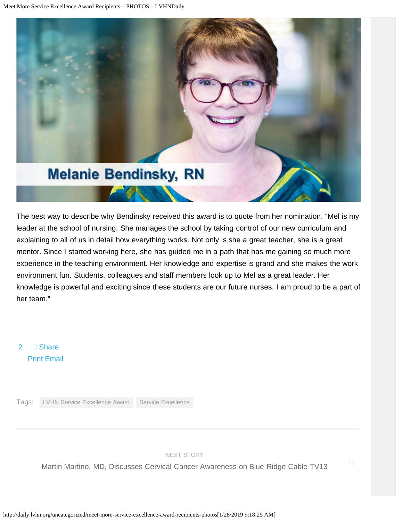

The best way to describe why Bendinsky received this award is to quote from her nomination. "Mel is my leader at the school of nursing. She manages the school by taking control of our new curriculum and explaining to all of us in detail how everything works. Not only is she a great teacher, she is a great mentor. Since I started working here, she has guided me in a path that has me gaining so much more experience in the teaching environment. Her knowledge and expertise is grand and she makes the work environment fun. Students, colleagues and staff members look up to Mel as a great leader. Her knowledge is powerful and exciting since these students are our future nurses. I am proud to be a part of her team."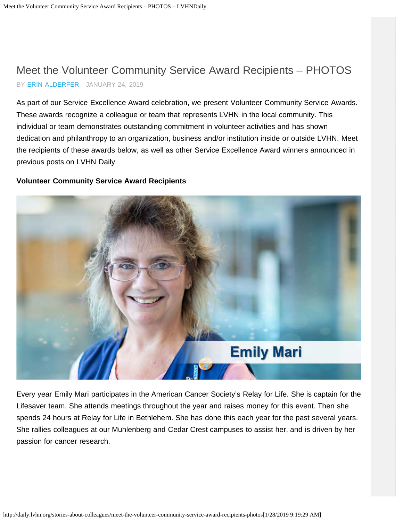## <span id="page-9-0"></span>Meet the Volunteer Community Service Award Recipients – PHOTOS BY [ERIN ALDERFER](http://daily.lvhn.org/author/erin-alderfer) · JANUARY 24, 2019

As part of our Service Excellence Award celebration, we present Volunteer Community Service Awards. These awards recognize a colleague or team that represents LVHN in the local community. This individual or team demonstrates outstanding commitment in volunteer activities and has shown dedication and philanthropy to an organization, business and/or institution inside or outside LVHN. Meet the recipients of these awards below, as well as other Service Excellence Award winners announced in previous posts on LVHN Daily.

### **Volunteer Community Service Award Recipients**



Every year Emily Mari participates in the American Cancer Society's Relay for Life. She is captain for the Lifesaver team. She attends meetings throughout the year and raises money for this event. Then she spends 24 hours at Relay for Life in Bethlehem. She has done this each year for the past several years. She rallies colleagues at our Muhlenberg and Cedar Crest campuses to assist her, and is driven by her passion for cancer research.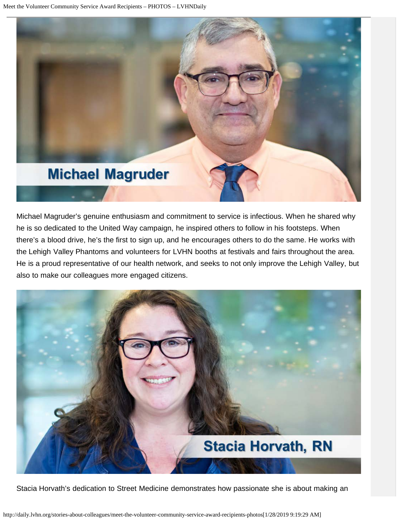

Michael Magruder's genuine enthusiasm and commitment to service is infectious. When he shared why he is so dedicated to the United Way campaign, he inspired others to follow in his footsteps. When there's a blood drive, he's the first to sign up, and he encourages others to do the same. He works with the Lehigh Valley Phantoms and volunteers for LVHN booths at festivals and fairs throughout the area. He is a proud representative of our health network, and seeks to not only improve the Lehigh Valley, but also to make our colleagues more engaged citizens.



Stacia Horvath's dedication to Street Medicine demonstrates how passionate she is about making an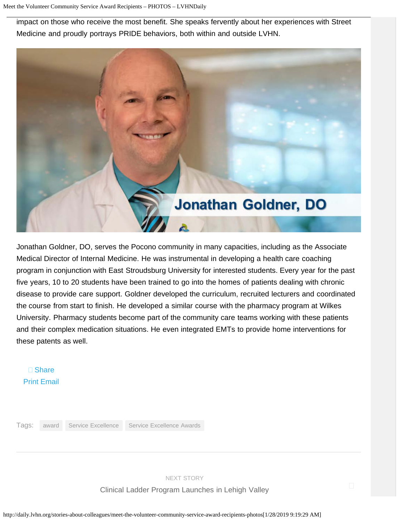impact on those who receive the most benefit. She speaks fervently about her experiences with Street Medicine and proudly portrays PRIDE behaviors, both within and outside LVHN.



Jonathan Goldner, DO, serves the Pocono community in many capacities, including as the Associate Medical Director of Internal Medicine. He was instrumental in developing a health care coaching program in conjunction with East Stroudsburg University for interested students. Every year for the past five years, 10 to 20 students have been trained to go into the homes of patients dealing with chronic disease to provide care support. Goldner developed the curriculum, recruited lecturers and coordinated the course from start to finish. He developed a similar course with the pharmacy program at Wilkes University. Pharmacy students become part of the community care teams working with these patients and their complex medication situations. He even integrated EMTs to provide home interventions for these patents as well.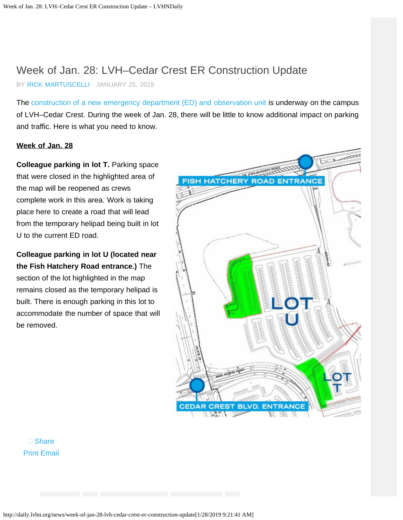# Week of Jan. 28: LVH–Cedar Crest ER Construction Update

BY [RICK MARTUSCELLI](http://daily.lvhn.org/author/rmartuscelli) · JANUARY 25, 2019

The [construction of a new emergency department \(ED\) and observation unit](http://daily.lvhn.org/news/larger-er-new-observation-unit-coming-to-lvh-cedar-crest) is underway on the campus of LVH–Cedar Crest. During the week of Jan. 28, there will be little to know additional impact on parking and traffic. Here is what you need to know.

### **Week of Jan. 28**

**Colleague parking in lot T. Parking space** that were closed in the highlighted area of the map will be reopened as crews complete work in this area. Work is taking place here to create a road that will lead from the temporary helipad being built in lot U to the current ED road.

**Colleague parking in lot U (located near the Fish Hatchery Road entrance.)** The section of the lot highlighted in the map remains closed as the temporary helipad is built. There is enough parking in this lot to accommodate the number of space that will be removed.

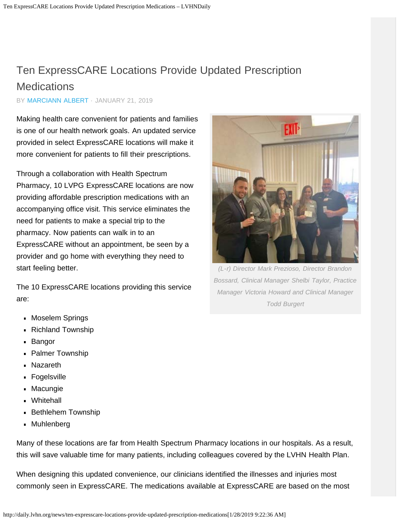# <span id="page-13-1"></span><span id="page-13-0"></span>Ten ExpressCARE Locations Provide Updated Prescription **Medications**

BY [MARCIANN ALBERT](http://daily.lvhn.org/author/marciann-albert) · JANUARY 21, 2019

Making health care convenient for patients and families is one of our health network goals. An updated service provided in select ExpressCARE locations will make it more convenient for patients to fill their prescriptions.

Through a collaboration with Health Spectrum Pharmacy, 10 LVPG ExpressCARE locations are now providing affordable prescription medications with an accompanying office visit. This service eliminates the need for patients to make a special trip to the pharmacy. Now patients can walk in to an ExpressCARE without an appointment, be seen by a provider and go home with everything they need to start feeling better.

The 10 ExpressCARE locations providing this service are:

- Moselem Springs
- **Richland Township**
- **Bangor**
- **Palmer Township**
- Nazareth
- Fogelsville
- Macungie
- Whitehall
- **Bethlehem Township**
- Muhlenberg

*(L-r) Director Mark Prezioso, Director Brandon*

FXIT

*Bossard, Clinical Manager Shelbi Taylor, Practice Manager Victoria Howard and Clinical Manager Todd Burgert*

Many of these locations are far from Health Spectrum Pharmacy locations in our hospitals. As a result, this will save valuable time for many patients, including colleagues covered by the LVHN Health Plan.

When designing this updated convenience, our clinicians identified the illnesses and injuries most commonly seen in ExpressCARE. The medications available at ExpressCARE are based on the most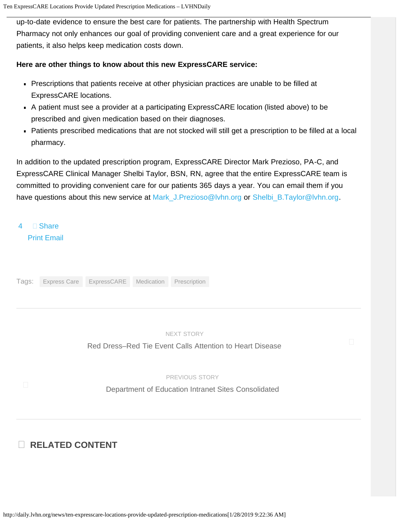up-to-date evidence to ensure the best care for patients. The partnership with Health Spectrum Pharmacy not only enhances our goal of providing convenient care and a great experience for our patients, it also helps keep medication costs down.

### **Here are other things to know about this new ExpressCARE service:**

- Prescriptions that patients receive at other physician practices are unable to be filled at ExpressCARE locations.
- A patient must see a provider at a participating ExpressCARE location (listed above) to be prescribed and given medication based on their diagnoses.
- Patients prescribed medications that are not stocked will still get a prescription to be filled at a local pharmacy.

In addition to the updated prescription program, ExpressCARE Director Mark Prezioso, PA-C, and ExpressCARE Clinical Manager Shelbi Taylor, BSN, RN, agree that the entire ExpressCARE team is committed to providing convenient care for our patients 365 days a year. You can email them if you have questions about this new service at [Mark\\_J.Prezioso@lvhn.org](mailto:Mark_J.Prezioso@lvhn.org) or [Shelbi\\_B.Taylor@lvhn.org.](mailto:Shelbi_B.Taylor@lvhn.org)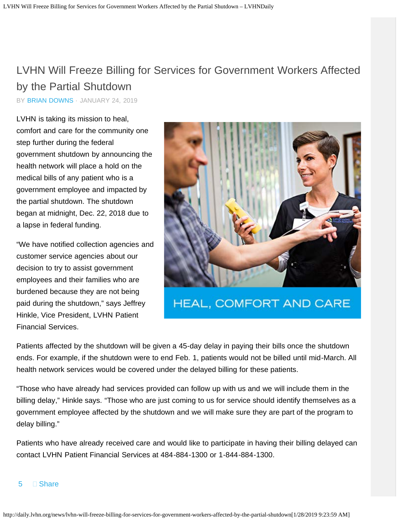# <span id="page-15-1"></span><span id="page-15-0"></span>LVHN Will Freeze Billing for Services for Government Workers Affected by the Partial Shutdown

BY [BRIAN DOWNS](http://daily.lvhn.org/author/bdowns) · JANUARY 24, 2019

LVHN is taking its mission to heal, comfort and care for the community one step further during the federal government shutdown by announcing the health network will place a hold on the medical bills of any patient who is a government employee and impacted by the partial shutdown. The shutdown began at midnight, Dec. 22, 2018 due to a lapse in federal funding.

"We have notified collection agencies and customer service agencies about our decision to try to assist government employees and their families who are burdened because they are not being paid during the shutdown," says Jeffrey Hinkle, Vice President, LVHN Patient Financial Services.



HEAL, COMFORT AND CARE

Patients affected by the shutdown will be given a 45-day delay in paying their bills once the shutdown ends. For example, if the shutdown were to end Feb. 1, patients would not be billed until mid-March. All health network services would be covered under the delayed billing for these patients.

"Those who have already had services provided can follow up with us and we will include them in the billing delay," Hinkle says. "Those who are just coming to us for service should identify themselves as a government employee affected by the shutdown and we will make sure they are part of the program to delay billing."

Patients who have already received care and would like to participate in having their billing delayed can contact LVHN Patient Financial Services at 484-884-1300 or 1-844-884-1300.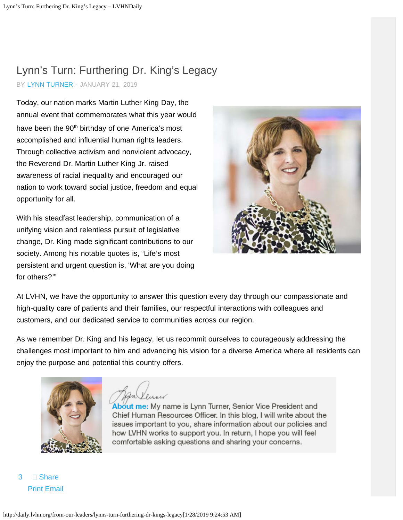# <span id="page-16-0"></span>Lynn's Turn: Furthering Dr. King's Legacy

BY [LYNN TURNER](http://daily.lvhn.org/author/lynn-turner) · JANUARY 21, 2019

Today, our nation marks Martin Luther King Day, the annual event that commemorates what this year would have been the 90<sup>th</sup> birthday of one America's most accomplished and influential human rights leaders. Through collective activism and nonviolent advocacy, the Reverend Dr. Martin Luther King Jr. raised awareness of racial inequality and encouraged our nation to work toward social justice, freedom and equal opportunity for all.

With his steadfast leadership, communication of a unifying vision and relentless pursuit of legislative change, Dr. King made significant contributions to our society. Among his notable quotes is, "Life's most persistent and urgent question is, 'What are you doing for others?'"



At LVHN, we have the opportunity to answer this question every day through our compassionate and high-quality care of patients and their families, our respectful interactions with colleagues and customers, and our dedicated service to communities across our region.

As we remember Dr. King and his legacy, let us recommit ourselves to courageously addressing the challenges most important to him and advancing his vision for a diverse America where all residents can enjoy the purpose and potential this country offers.



About me: My name is Lynn Turner, Senior Vice President and Chief Human Resources Officer. In this blog, I will write about the issues important to you, share information about our policies and how LVHN works to support you. In return, I hope you will feel comfortable asking questions and sharing your concerns.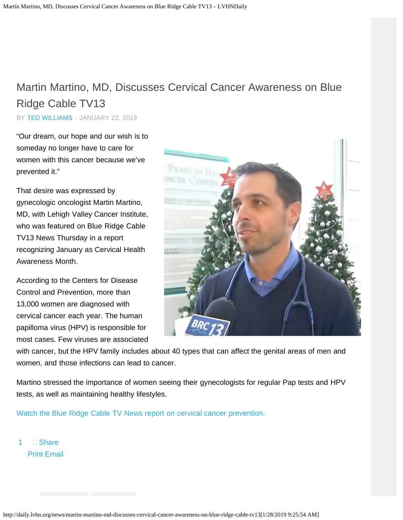# <span id="page-17-1"></span><span id="page-17-0"></span>Martin Martino, MD, Discusses Cervical Cancer Awareness on Blue Ridge Cable TV13

BY [TED WILLIAMS](http://daily.lvhn.org/author/twilliams) · JANUARY 22, 2019

"Our dream, our hope and our wish is to someday no longer have to care for women with this cancer because we've prevented it."

That desire was expressed by gynecologic oncologist Martin Martino, MD, with Lehigh Valley Cancer Institute, who was featured on Blue Ridge Cable TV13 News Thursday in a report recognizing January as Cervical Health Awareness Month.

According to the Centers for Disease Control and Prevention, more than 13,000 women are diagnosed with cervical cancer each year. The human papilloma virus (HPV) is responsible for most cases. Few viruses are associated



with cancer, but the HPV family includes about 40 types that can affect the genital areas of men and women, and those infections can lead to cancer.

Martino stressed the importance of women seeing their gynecologists for regular Pap tests and HPV tests, as well as maintaining healthy lifestyles.

[Watch the Blue Ridge Cable TV News report on cervical cancer prevention.](https://www.brctv13.com/news/local-news/23250-january-is-cervical-health-month-experts-share-advice)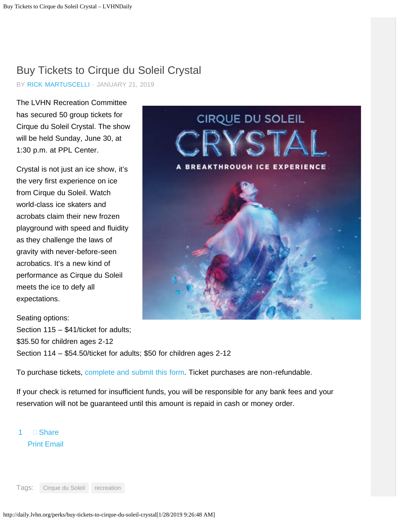# <span id="page-18-0"></span>Buy Tickets to Cirque du Soleil Crystal

BY [RICK MARTUSCELLI](http://daily.lvhn.org/author/rmartuscelli) · JANUARY 21, 2019

The LVHN Recreation Committee has secured 50 group tickets for Cirque du Soleil Crystal. The show will be held Sunday, June 30, at 1:30 p.m. at PPL Center.

Crystal is not just an ice show, it's the very first experience on ice from Cirque du Soleil. Watch world-class ice skaters and acrobats claim their new frozen playground with speed and fluidity as they challenge the laws of gravity with never-before-seen acrobatics. It's a new kind of performance as Cirque du Soleil meets the ice to defy all expectations.

CIRQUE DU SOLEIL A BREAKTHROUGH ICE EXPERIENCE

Seating options: Section 115 – \$41/ticket for adults; \$35.50 for children ages 2-12 Section 114 – \$54.50/ticket for adults; \$50 for children ages 2-12

To purchase tickets, [complete and submit this form](http://daily.lvhn.org/wp-content/uploads/2019/01/Cirque-du-Soleil-Crystal-June-30-2019.pdf). Ticket purchases are non-refundable.

If your check is returned for insufficient funds, you will be responsible for any bank fees and your reservation will not be guaranteed until this amount is repaid in cash or money order.